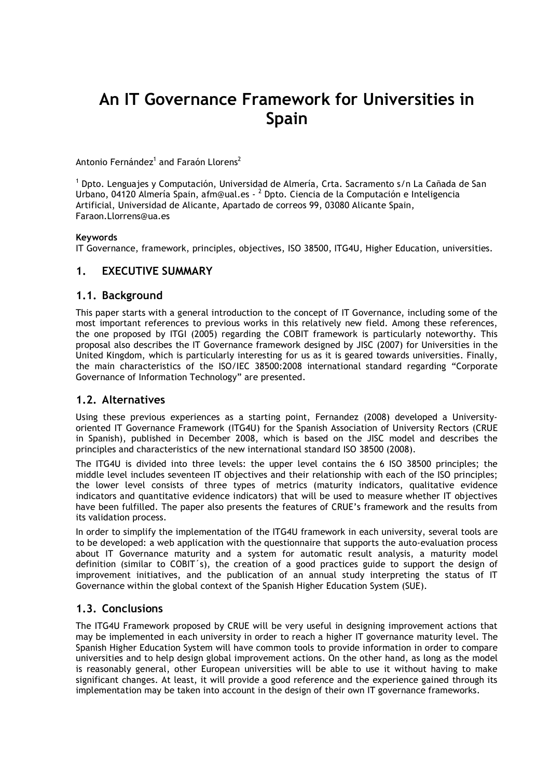# **An IT Governance Framework for Universities in Spain**

Antonio Fernández<sup>1</sup> and Faraón Llorens<sup>2</sup>

<sup>1</sup> Dpto. Lenguajes y Computación, Universidad de Almería, Crta. Sacramento s/n La Cañada de San Urbano, 04120 Almería Spain, afm@ual.es - <sup>2</sup> Dpto. Ciencia de la Computación e Inteligencia Artificial, Universidad de Alicante, Apartado de correos 99, 03080 Alicante Spain, Faraon.Llorrens@ua.es

#### **Keywords**

IT Governance, framework, principles, objectives, ISO 38500, ITG4U, Higher Education, universities.

# **1. EXECUTIVE SUMMARY**

## **1.1. Background**

This paper starts with a general introduction to the concept of IT Governance, including some of the most important references to previous works in this relatively new field. Among these references, the one proposed by ITGI (2005) regarding the COBIT framework is particularly noteworthy. This proposal also describes the IT Governance framework designed by JISC (2007) for Universities in the United Kingdom, which is particularly interesting for us as it is geared towards universities. Finally, the main characteristics of the ISO/IEC 38500:2008 international standard regarding "Corporate Governance of Information Technology" are presented.

#### **1.2. Alternatives**

Using these previous experiences as a starting point, Fernandez (2008) developed a Universityoriented IT Governance Framework (ITG4U) for the Spanish Association of University Rectors (CRUE in Spanish), published in December 2008, which is based on the JISC model and describes the principles and characteristics of the new international standard ISO 38500 (2008).

The ITG4U is divided into three levels: the upper level contains the 6 ISO 38500 principles; the middle level includes seventeen IT objectives and their relationship with each of the ISO principles; the lower level consists of three types of metrics (maturity indicators, qualitative evidence indicators and quantitative evidence indicators) that will be used to measure whether IT objectives have been fulfilled. The paper also presents the features of CRUE's framework and the results from its validation process.

In order to simplify the implementation of the ITG4U framework in each university, several tools are to be developed: a web application with the questionnaire that supports the auto-evaluation process about IT Governance maturity and a system for automatic result analysis, a maturity model definition (similar to COBIT´s), the creation of a good practices guide to support the design of improvement initiatives, and the publication of an annual study interpreting the status of IT Governance within the global context of the Spanish Higher Education System (SUE).

# **1.3. Conclusions**

The ITG4U Framework proposed by CRUE will be very useful in designing improvement actions that may be implemented in each university in order to reach a higher IT governance maturity level. The Spanish Higher Education System will have common tools to provide information in order to compare universities and to help design global improvement actions. On the other hand, as long as the model is reasonably general, other European universities will be able to use it without having to make significant changes. At least, it will provide a good reference and the experience gained through its implementation may be taken into account in the design of their own IT governance frameworks.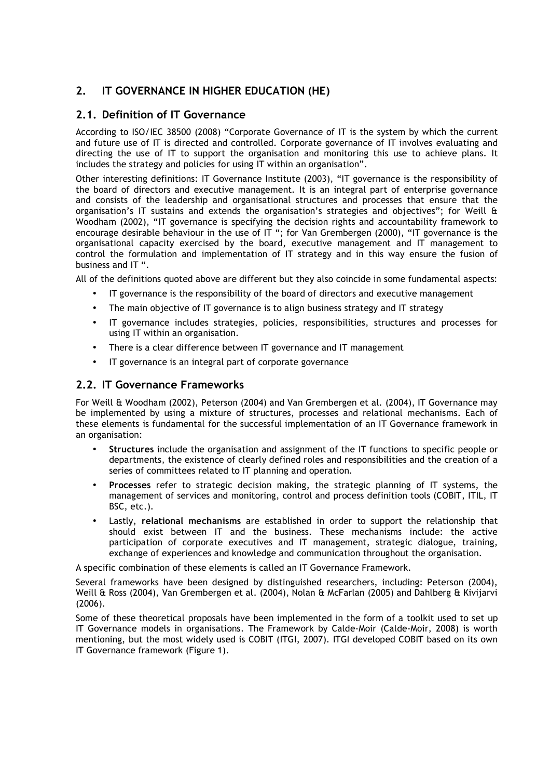# **2. IT GOVERNANCE IN HIGHER EDUCATION (HE)**

# **2.1. Definition of IT Governance**

According to ISO/IEC 38500 (2008) "Corporate Governance of IT is the system by which the current and future use of IT is directed and controlled. Corporate governance of IT involves evaluating and directing the use of IT to support the organisation and monitoring this use to achieve plans. It includes the strategy and policies for using IT within an organisation".

Other interesting definitions: IT Governance Institute (2003), "IT governance is the responsibility of the board of directors and executive management. It is an integral part of enterprise governance and consists of the leadership and organisational structures and processes that ensure that the organisation's IT sustains and extends the organisation's strategies and objectives"; for Weill & Woodham (2002), "IT governance is specifying the decision rights and accountability framework to encourage desirable behaviour in the use of IT "; for Van Grembergen (2000), "IT governance is the organisational capacity exercised by the board, executive management and IT management to control the formulation and implementation of IT strategy and in this way ensure the fusion of business and IT ".

All of the definitions quoted above are different but they also coincide in some fundamental aspects:

- IT governance is the responsibility of the board of directors and executive management
- The main objective of IT governance is to align business strategy and IT strategy
- IT governance includes strategies, policies, responsibilities, structures and processes for using IT within an organisation.
- There is a clear difference between IT governance and IT management
- IT governance is an integral part of corporate governance

# **2.2. IT Governance Frameworks**

For Weill & Woodham (2002), Peterson (2004) and Van Grembergen et al. (2004), IT Governance may be implemented by using a mixture of structures, processes and relational mechanisms. Each of these elements is fundamental for the successful implementation of an IT Governance framework in an organisation:

- **Structures** include the organisation and assignment of the IT functions to specific people or departments, the existence of clearly defined roles and responsibilities and the creation of a series of committees related to IT planning and operation.
- **Processes** refer to strategic decision making, the strategic planning of IT systems, the management of services and monitoring, control and process definition tools (COBIT, ITIL, IT BSC, etc.).
- Lastly, **relational mechanisms** are established in order to support the relationship that should exist between IT and the business. These mechanisms include: the active participation of corporate executives and IT management, strategic dialogue, training, exchange of experiences and knowledge and communication throughout the organisation.

A specific combination of these elements is called an IT Governance Framework.

Several frameworks have been designed by distinguished researchers, including: Peterson (2004), Weill & Ross (2004), Van Grembergen et al. (2004), Nolan & McFarlan (2005) and Dahlberg & Kivijarvi (2006).

Some of these theoretical proposals have been implemented in the form of a toolkit used to set up IT Governance models in organisations. The Framework by Calde-Moir (Calde-Moir, 2008) is worth mentioning, but the most widely used is COBIT (ITGI, 2007). ITGI developed COBIT based on its own IT Governance framework (Figure 1).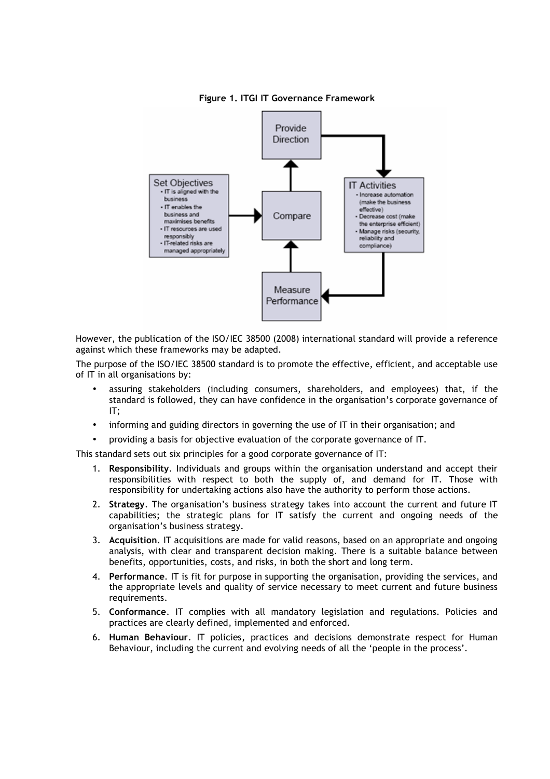

#### **Figure 1. ITGI IT Governance Framework**

However, the publication of the ISO/IEC 38500 (2008) international standard will provide a reference against which these frameworks may be adapted.

The purpose of the ISO/IEC 38500 standard is to promote the effective, efficient, and acceptable use of IT in all organisations by:

- assuring stakeholders (including consumers, shareholders, and employees) that, if the standard is followed, they can have confidence in the organisation's corporate governance of IT;
- informing and guiding directors in governing the use of IT in their organisation; and
- providing a basis for objective evaluation of the corporate governance of IT.

This standard sets out six principles for a good corporate governance of IT:

- 1. **Responsibility**. Individuals and groups within the organisation understand and accept their responsibilities with respect to both the supply of, and demand for IT. Those with responsibility for undertaking actions also have the authority to perform those actions.
- 2. **Strategy**. The organisation's business strategy takes into account the current and future IT capabilities; the strategic plans for IT satisfy the current and ongoing needs of the organisation's business strategy.
- 3. **Acquisition**. IT acquisitions are made for valid reasons, based on an appropriate and ongoing analysis, with clear and transparent decision making. There is a suitable balance between benefits, opportunities, costs, and risks, in both the short and long term.
- 4. **Performance**. IT is fit for purpose in supporting the organisation, providing the services, and the appropriate levels and quality of service necessary to meet current and future business requirements.
- 5. **Conformance**. IT complies with all mandatory legislation and regulations. Policies and practices are clearly defined, implemented and enforced.
- 6. **Human Behaviour**. IT policies, practices and decisions demonstrate respect for Human Behaviour, including the current and evolving needs of all the 'people in the process'.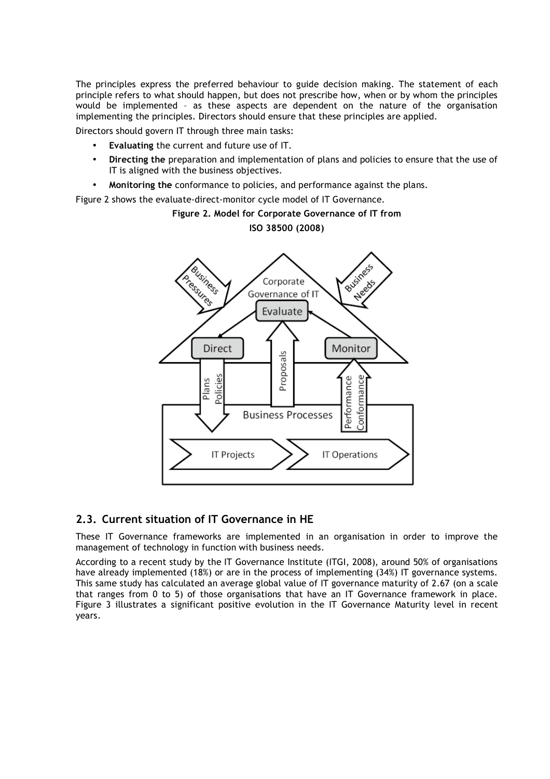The principles express the preferred behaviour to guide decision making. The statement of each principle refers to what should happen, but does not prescribe how, when or by whom the principles would be implemented – as these aspects are dependent on the nature of the organisation implementing the principles. Directors should ensure that these principles are applied.

Directors should govern IT through three main tasks:

- **Evaluating** the current and future use of IT.
- **Directing the** preparation and implementation of plans and policies to ensure that the use of IT is aligned with the business objectives.
- **Monitoring the** conformance to policies, and performance against the plans.

Figure 2 shows the evaluate-direct-monitor cycle model of IT Governance.

## **Figure 2. Model for Corporate Governance of IT from ISO 38500 (2008)**



# **2.3. Current situation of IT Governance in HE**

These IT Governance frameworks are implemented in an organisation in order to improve the management of technology in function with business needs.

According to a recent study by the IT Governance Institute (ITGI, 2008), around 50% of organisations have already implemented (18%) or are in the process of implementing (34%) IT governance systems. This same study has calculated an average global value of IT governance maturity of 2.67 (on a scale that ranges from 0 to 5) of those organisations that have an IT Governance framework in place. Figure 3 illustrates a significant positive evolution in the IT Governance Maturity level in recent years.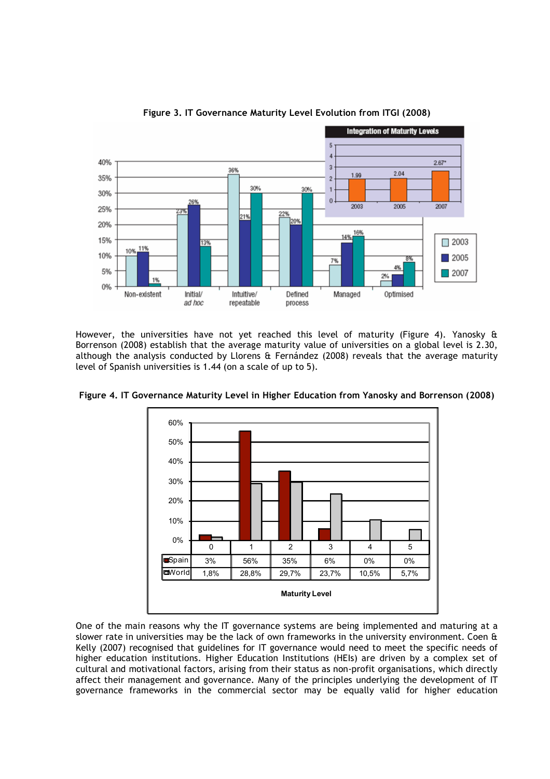

However, the universities have not yet reached this level of maturity (Figure 4). Yanosky & Borrenson (2008) establish that the average maturity value of universities on a global level is 2.30, although the analysis conducted by Llorens & Fernández (2008) reveals that the average maturity level of Spanish universities is 1.44 (on a scale of up to 5).



**Figure 4. IT Governance Maturity Level in Higher Education from Yanosky and Borrenson (2008)** 

One of the main reasons why the IT governance systems are being implemented and maturing at a slower rate in universities may be the lack of own frameworks in the university environment. Coen & Kelly (2007) recognised that guidelines for IT governance would need to meet the specific needs of higher education institutions. Higher Education Institutions (HEIs) are driven by a complex set of cultural and motivational factors, arising from their status as non-profit organisations, which directly affect their management and governance. Many of the principles underlying the development of IT governance frameworks in the commercial sector may be equally valid for higher education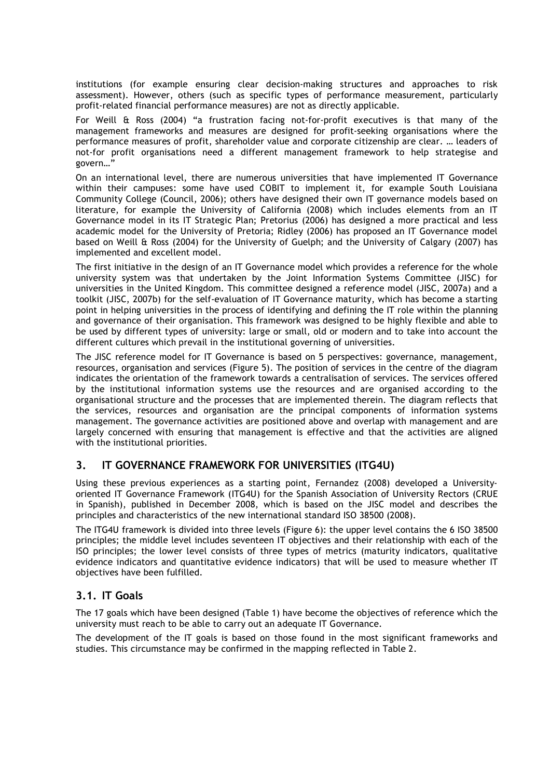institutions (for example ensuring clear decision-making structures and approaches to risk assessment). However, others (such as specific types of performance measurement, particularly profit-related financial performance measures) are not as directly applicable.

For Weill & Ross (2004) "a frustration facing not-for-profit executives is that many of the management frameworks and measures are designed for profit-seeking organisations where the performance measures of profit, shareholder value and corporate citizenship are clear. … leaders of not-for profit organisations need a different management framework to help strategise and govern…"

On an international level, there are numerous universities that have implemented IT Governance within their campuses: some have used COBIT to implement it, for example South Louisiana Community College (Council, 2006); others have designed their own IT governance models based on literature, for example the University of California (2008) which includes elements from an IT Governance model in its IT Strategic Plan; Pretorius (2006) has designed a more practical and less academic model for the University of Pretoria; Ridley (2006) has proposed an IT Governance model based on Weill & Ross (2004) for the University of Guelph; and the University of Calgary (2007) has implemented and excellent model.

The first initiative in the design of an IT Governance model which provides a reference for the whole university system was that undertaken by the Joint Information Systems Committee (JISC) for universities in the United Kingdom. This committee designed a reference model (JISC, 2007a) and a toolkit (JISC, 2007b) for the self-evaluation of IT Governance maturity, which has become a starting point in helping universities in the process of identifying and defining the IT role within the planning and governance of their organisation. This framework was designed to be highly flexible and able to be used by different types of university: large or small, old or modern and to take into account the different cultures which prevail in the institutional governing of universities.

The JISC reference model for IT Governance is based on 5 perspectives: governance, management, resources, organisation and services (Figure 5). The position of services in the centre of the diagram indicates the orientation of the framework towards a centralisation of services. The services offered by the institutional information systems use the resources and are organised according to the organisational structure and the processes that are implemented therein. The diagram reflects that the services, resources and organisation are the principal components of information systems management. The governance activities are positioned above and overlap with management and are largely concerned with ensuring that management is effective and that the activities are aligned with the institutional priorities.

# **3. IT GOVERNANCE FRAMEWORK FOR UNIVERSITIES (ITG4U)**

Using these previous experiences as a starting point, Fernandez (2008) developed a Universityoriented IT Governance Framework (ITG4U) for the Spanish Association of University Rectors (CRUE in Spanish), published in December 2008, which is based on the JISC model and describes the principles and characteristics of the new international standard ISO 38500 (2008).

The ITG4U framework is divided into three levels (Figure 6): the upper level contains the 6 ISO 38500 principles; the middle level includes seventeen IT objectives and their relationship with each of the ISO principles; the lower level consists of three types of metrics (maturity indicators, qualitative evidence indicators and quantitative evidence indicators) that will be used to measure whether IT objectives have been fulfilled.

#### **3.1. IT Goals**

The 17 goals which have been designed (Table 1) have become the objectives of reference which the university must reach to be able to carry out an adequate IT Governance.

The development of the IT goals is based on those found in the most significant frameworks and studies. This circumstance may be confirmed in the mapping reflected in Table 2.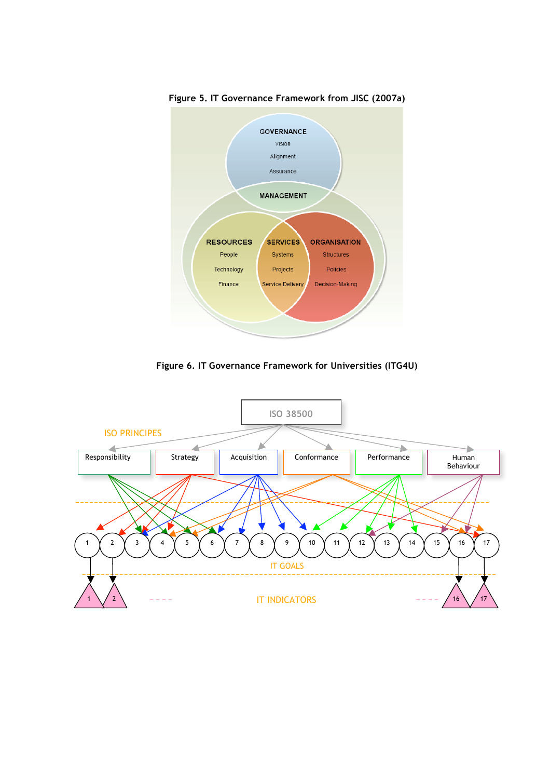

**Figure 5. IT Governance Framework from JISC (2007a)** 

**Figure 6. IT Governance Framework for Universities (ITG4U)** 

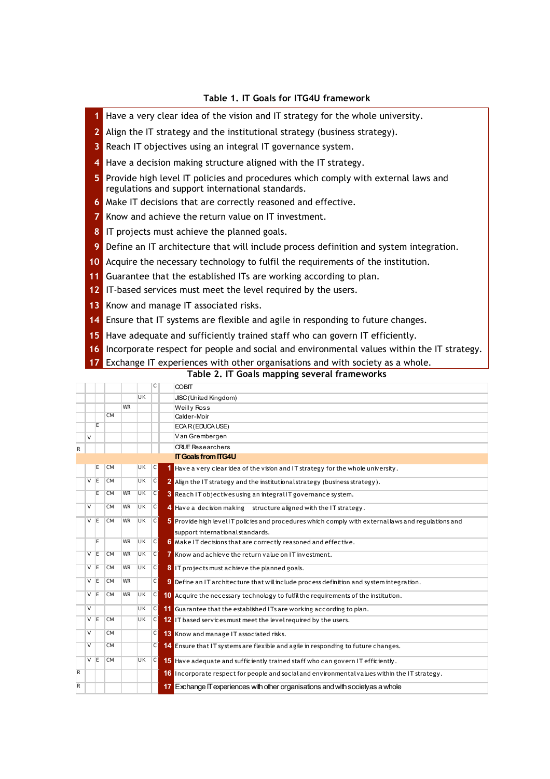#### **Table 1. IT Goals for ITG4U framework**

- **1** Have a very clear idea of the vision and IT strategy for the whole university.
- **2** Align the IT strategy and the institutional strategy (business strategy).
- **3** Reach IT objectives using an integral IT governance system.
- **4** Have a decision making structure aligned with the IT strategy.
- **5** Provide high level IT policies and procedures which comply with external laws and regulations and support international standards.
- **6** Make IT decisions that are correctly reasoned and effective.
- **7** Know and achieve the return value on IT investment.
- **8** IT projects must achieve the planned goals.
- **9** Define an IT architecture that will include process definition and system integration.
- **10** Acquire the necessary technology to fulfil the requirements of the institution.
- **11** Guarantee that the established ITs are working according to plan.
- **12** IT-based services must meet the level required by the users.
- **13** Know and manage IT associated risks.
- **14** Ensure that IT systems are flexible and agile in responding to future changes.
- **15** Have adequate and sufficiently trained staff who can govern IT efficiently.
- **16** Incorporate respect for people and social and environmental values within the IT strategy.
- **17** Exchange IT experiences with other organisations and with society as a whole.

#### **Table 2. IT Goals mapping several frameworks**

|   |                         |     |           |           |           | $\overline{C}$          |                            | COBIT                                                                                               |  |  |  |  |
|---|-------------------------|-----|-----------|-----------|-----------|-------------------------|----------------------------|-----------------------------------------------------------------------------------------------------|--|--|--|--|
|   |                         |     |           |           | UK        |                         |                            | JISC (United Kingdom)                                                                               |  |  |  |  |
|   |                         |     |           | <b>WR</b> |           |                         |                            | Weill y Ross                                                                                        |  |  |  |  |
|   |                         |     | CМ        |           |           |                         |                            | Calder-Moir                                                                                         |  |  |  |  |
|   |                         | E   |           |           |           |                         |                            | ECA R (EDUCA USE)                                                                                   |  |  |  |  |
|   | V                       |     |           |           |           |                         |                            | Van Grembergen                                                                                      |  |  |  |  |
| R |                         |     |           |           |           |                         |                            | <b>CRUE Researchers</b>                                                                             |  |  |  |  |
|   |                         |     |           |           |           |                         | <b>IT Goals from ITG4U</b> |                                                                                                     |  |  |  |  |
|   |                         | E   | <b>CM</b> |           | <b>UK</b> | C                       |                            | <sup>1</sup> Have a very clear idea of the vision and IT strategy for the whole university.         |  |  |  |  |
|   | V                       | E   | <b>CM</b> |           | <b>UK</b> | C                       |                            | 2 Align the IT strategy and the institutional strategy (business strategy).                         |  |  |  |  |
|   |                         | E.  | <b>CM</b> | <b>WR</b> | <b>UK</b> | C                       |                            | 3 Reach IT objectives using an integral IT governance system.                                       |  |  |  |  |
|   | $\vee$                  |     | CМ        | <b>WR</b> | UK        | C                       |                            | 4 Have a decision making structure aligned with the IT strategy.                                    |  |  |  |  |
|   | V                       | E   | <b>CM</b> | <b>WR</b> | UK.       | C                       |                            | 5 Provide high level IT policies and procedures which comply with external laws and regulations and |  |  |  |  |
|   |                         |     |           |           |           |                         |                            | support international standards.                                                                    |  |  |  |  |
|   |                         | E   |           | <b>WR</b> | UK.       | C                       |                            | 6 Make IT decisions that are correctly reasoned and effective.                                      |  |  |  |  |
|   | V                       | E   | <b>CM</b> | <b>WR</b> | UK        | C                       |                            | <b>7</b> Know and achieve the return value on IT investment.                                        |  |  |  |  |
|   | V E                     |     | <b>CM</b> | <b>WR</b> | <b>UK</b> | C                       |                            | 8 IT projects must achieve the planned goals.                                                       |  |  |  |  |
|   | V                       | -le | <b>CM</b> | <b>WR</b> |           | $\overline{\mathsf{C}}$ |                            | 9 Define an IT architecture that will include process definition and system integration.            |  |  |  |  |
|   | $V$ E                   |     | <b>CM</b> | <b>WR</b> | UK        | C                       |                            | 10 Acquire the necessary technology to fulfil the requirements of the institution.                  |  |  |  |  |
|   | $\vee$                  |     |           |           | <b>UK</b> | $\overline{c}$          |                            | 11 Guarantee that the established ITs are working according to plan.                                |  |  |  |  |
|   | $V$ E                   |     | <b>CM</b> |           | UK        | C                       |                            | 12 IT based services must meet the level required by the users.                                     |  |  |  |  |
|   | $\vee$                  |     | <b>CM</b> |           |           | C                       |                            | 13 Know and manage IT associated risks.                                                             |  |  |  |  |
|   | $\overline{\mathsf{v}}$ |     | <b>CM</b> |           |           | C                       |                            | 14 Ensure that IT systems are flexible and agile in responding to future changes.                   |  |  |  |  |
|   | V E                     |     | <b>CM</b> |           | UK        | $\overline{c}$          |                            | 15 Have adequate and sufficiently trained staff who can govern IT efficiently.                      |  |  |  |  |
| R |                         |     |           |           |           |                         |                            | 16 Incorporate respect for people and social and environmental values within the IT strategy.       |  |  |  |  |
| R |                         |     |           |           |           |                         |                            | 17 Exchange IT experiences with other organisations and with society as a whole                     |  |  |  |  |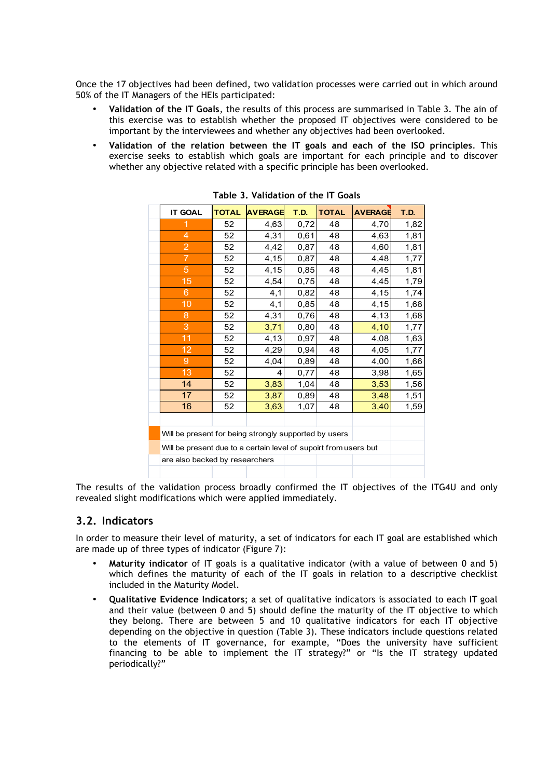Once the 17 objectives had been defined, two validation processes were carried out in which around 50% of the IT Managers of the HEIs participated:

- **Validation of the IT Goals**, the results of this process are summarised in Table 3. The ain of this exercise was to establish whether the proposed IT objectives were considered to be important by the interviewees and whether any objectives had been overlooked.
- **Validation of the relation between the IT goals and each of the ISO principles**. This exercise seeks to establish which goals are important for each principle and to discover whether any objective related with a specific principle has been overlooked.

| <b>IT GOAL</b>                                                   | <b>TOTAL</b> | <b>AVERAGE</b> | <b>T.D.</b> | <b>TOTAL</b> | <b>AVERAGE</b> | <b>T.D.</b> |
|------------------------------------------------------------------|--------------|----------------|-------------|--------------|----------------|-------------|
|                                                                  | 52           | 4,63           | 0,72        | 48           | 4,70           | 1,82        |
| $\overline{4}$                                                   | 52           | 4,31           | 0,61        | 48           | 4,63           | 1,81        |
| $\overline{2}$                                                   | 52           | 4,42           | 0,87        | 48           | 4,60           | 1,81        |
| $\overline{7}$                                                   | 52           | 4,15           | 0,87        | 48           | 4,48           | 1,77        |
| 5                                                                | 52           | 4,15           | 0,85        | 48           | 4,45           | 1,81        |
| 15                                                               | 52           | 4,54           | 0,75        | 48           | 4,45           | 1,79        |
| 6                                                                | 52           | 4,1            | 0,82        | 48           | 4,15           | 1,74        |
| 10                                                               | 52           | 4,1            | 0,85        | 48           | 4,15           | 1,68        |
| 8                                                                | 52           | 4,31           | 0,76        | 48           | 4,13           | 1,68        |
| 3                                                                | 52           | 3,71           | 0,80        | 48           | 4,10           | 1,77        |
| 11                                                               | 52           | 4,13           | 0,97        | 48           | 4,08           | 1,63        |
| 12                                                               | 52           | 4,29           | 0,94        | 48           | 4,05           | 1,77        |
| $\overline{9}$                                                   | 52           | 4,04           | 0,89        | 48           | 4,00           | 1,66        |
| 13                                                               | 52           | 4              | 0,77        | 48           | 3,98           | 1,65        |
| 14                                                               | 52           | 3,83           | 1,04        | 48           | 3,53           | 1,56        |
| 17                                                               | 52           | 3,87           | 0,89        | 48           | 3,48           | 1,51        |
| 16                                                               | 52           | 3,63           | 1,07        | 48           | 3,40           | 1,59        |
|                                                                  |              |                |             |              |                |             |
| Will be present for being strongly supported by users            |              |                |             |              |                |             |
| Will be present due to a certain level of supoirt from users but |              |                |             |              |                |             |
| are also backed by researchers                                   |              |                |             |              |                |             |
|                                                                  |              |                |             |              |                |             |

**Table 3. Validation of the IT Goals**

The results of the validation process broadly confirmed the IT objectives of the ITG4U and only revealed slight modifications which were applied immediately.

# **3.2. Indicators**

In order to measure their level of maturity, a set of indicators for each IT goal are established which are made up of three types of indicator (Figure 7):

- **Maturity indicator** of IT goals is a qualitative indicator (with a value of between 0 and 5) which defines the maturity of each of the IT goals in relation to a descriptive checklist included in the Maturity Model.
- **Qualitative Evidence Indicators**; a set of qualitative indicators is associated to each IT goal and their value (between 0 and 5) should define the maturity of the IT objective to which they belong. There are between 5 and 10 qualitative indicators for each IT objective depending on the objective in question (Table 3). These indicators include questions related to the elements of IT governance, for example, "Does the university have sufficient financing to be able to implement the IT strategy?" or "Is the IT strategy updated periodically?"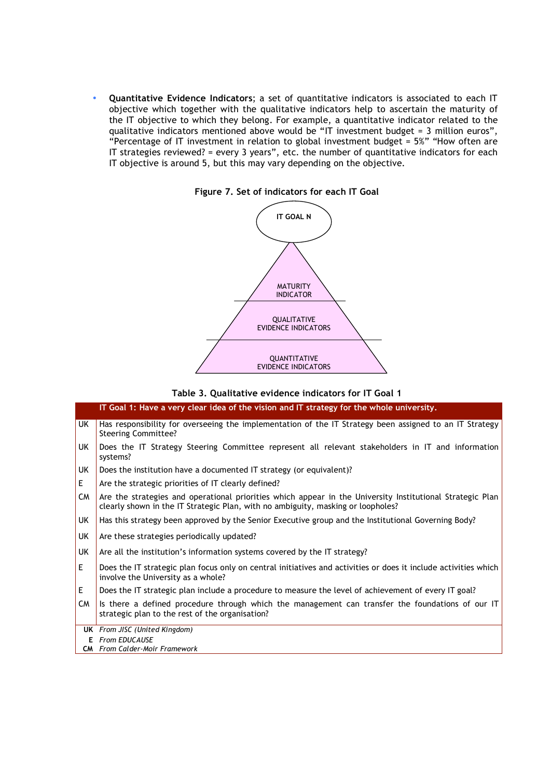• **Quantitative Evidence Indicators**; a set of quantitative indicators is associated to each IT objective which together with the qualitative indicators help to ascertain the maturity of the IT objective to which they belong. For example, a quantitative indicator related to the qualitative indicators mentioned above would be "IT investment budget = 3 million euros", "Percentage of IT investment in relation to global investment budget = 5%" "How often are IT strategies reviewed? = every 3 years", etc. the number of quantitative indicators for each IT objective is around 5, but this may vary depending on the objective.





**Table 3. Qualitative evidence indicators for IT Goal 1**

|           | IT Goal 1: Have a very clear idea of the vision and IT strategy for the whole university.                                                                                                     |
|-----------|-----------------------------------------------------------------------------------------------------------------------------------------------------------------------------------------------|
| UK.       | Has responsibility for overseeing the implementation of the IT Strategy been assigned to an IT Strategy<br><b>Steering Committee?</b>                                                         |
| UK        | Does the IT Strategy Steering Committee represent all relevant stakeholders in IT and information<br>systems?                                                                                 |
| UK        | Does the institution have a documented IT strategy (or equivalent)?                                                                                                                           |
| E.        | Are the strategic priorities of IT clearly defined?                                                                                                                                           |
| CM        | Are the strategies and operational priorities which appear in the University Institutional Strategic Plan<br>clearly shown in the IT Strategic Plan, with no ambiguity, masking or loopholes? |
| UK        | Has this strategy been approved by the Senior Executive group and the Institutional Governing Body?                                                                                           |
| UK        | Are these strategies periodically updated?                                                                                                                                                    |
| UK        | Are all the institution's information systems covered by the IT strategy?                                                                                                                     |
| E.        | Does the IT strategic plan focus only on central initiatives and activities or does it include activities which<br>involve the University as a whole?                                         |
| E.        | Does the IT strategic plan include a procedure to measure the level of achievement of every IT goal?                                                                                          |
| <b>CM</b> | Is there a defined procedure through which the management can transfer the foundations of our IT<br>strategic plan to the rest of the organisation?                                           |
|           | <b>UK</b> From JISC (United Kingdom)                                                                                                                                                          |
|           | E From FDUCAUSF                                                                                                                                                                               |
|           | <b>CM</b> From Calder-Moir Framework                                                                                                                                                          |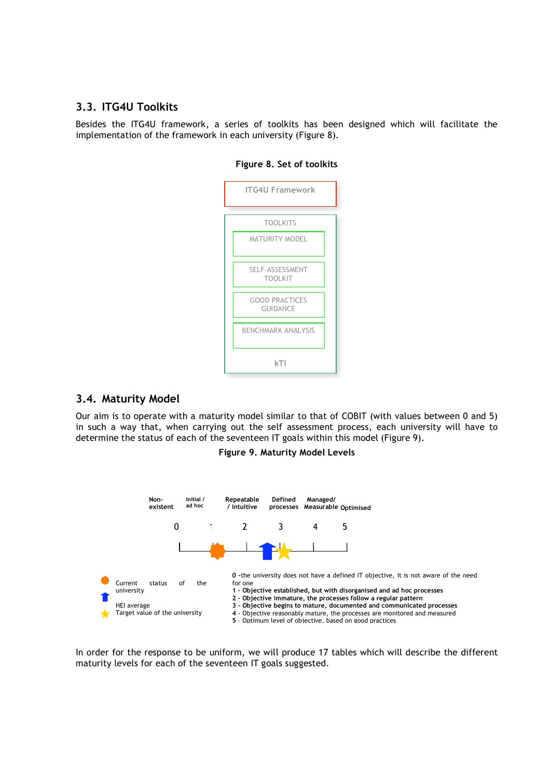### **3.3. ITG4U Toolkits**

Besides the ITG4U framework, a series of toolkits has been designed which will facilitate the implementation of the framework in each university (Figure 8).





#### **3.4. Maturity Model**

Our aim is to operate with a maturity model similar to that of COBIT (with values between 0 and 5) in such a way that, when carrying out the self assessment process, each university will have to determine the status of each of the seventeen IT goals within this model (Figure 9).





In order for the response to be uniform, we will produce 17 tables which will describe the different maturity levels for each of the seventeen IT goals suggested.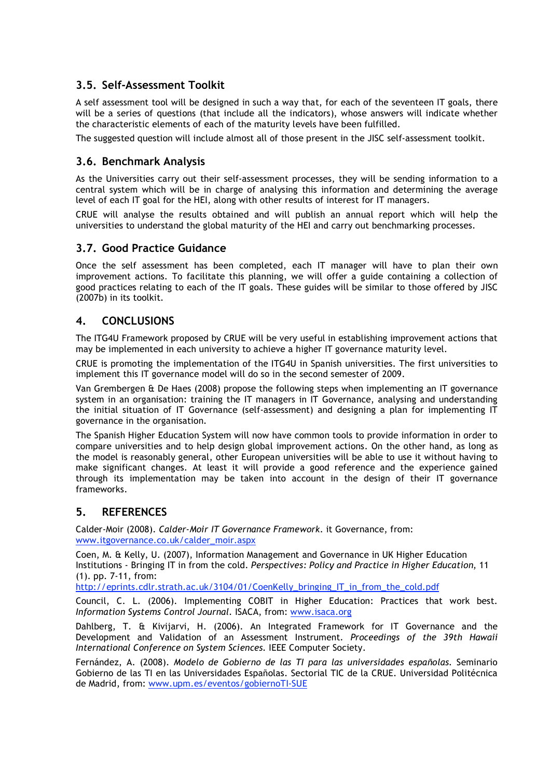# **3.5. Self-Assessment Toolkit**

A self assessment tool will be designed in such a way that, for each of the seventeen IT goals, there will be a series of questions (that include all the indicators), whose answers will indicate whether the characteristic elements of each of the maturity levels have been fulfilled.

The suggested question will include almost all of those present in the JISC self-assessment toolkit.

# **3.6. Benchmark Analysis**

As the Universities carry out their self-assessment processes, they will be sending information to a central system which will be in charge of analysing this information and determining the average level of each IT goal for the HEI, along with other results of interest for IT managers.

CRUE will analyse the results obtained and will publish an annual report which will help the universities to understand the global maturity of the HEI and carry out benchmarking processes.

## **3.7. Good Practice Guidance**

Once the self assessment has been completed, each IT manager will have to plan their own improvement actions. To facilitate this planning, we will offer a guide containing a collection of good practices relating to each of the IT goals. These guides will be similar to those offered by JISC (2007b) in its toolkit.

## **4. CONCLUSIONS**

The ITG4U Framework proposed by CRUE will be very useful in establishing improvement actions that may be implemented in each university to achieve a higher IT governance maturity level.

CRUE is promoting the implementation of the ITG4U in Spanish universities. The first universities to implement this IT governance model will do so in the second semester of 2009.

Van Grembergen & De Haes (2008) propose the following steps when implementing an IT governance system in an organisation: training the IT managers in IT Governance, analysing and understanding the initial situation of IT Governance (self-assessment) and designing a plan for implementing IT governance in the organisation.

The Spanish Higher Education System will now have common tools to provide information in order to compare universities and to help design global improvement actions. On the other hand, as long as the model is reasonably general, other European universities will be able to use it without having to make significant changes. At least it will provide a good reference and the experience gained through its implementation may be taken into account in the design of their IT governance frameworks.

# **5. REFERENCES**

Calder-Moir (2008). *Calder-Moir IT Governance Framework*. it Governance, from: www.itgovernance.co.uk/calder\_moir.aspx

Coen, M. & Kelly, U. (2007), Information Management and Governance in UK Higher Education Institutions - Bringing IT in from the cold. *Perspectives: Policy and Practice in Higher Education*, 11 (1). pp. 7-11, from:

http://eprints.cdlr.strath.ac.uk/3104/01/CoenKelly\_bringing\_IT\_in\_from\_the\_cold.pdf

Council, C. L. (2006). Implementing COBIT in Higher Education: Practices that work best. *Information Systems Control Journal*. ISACA, from: www.isaca.org

Dahlberg, T. & Kivijarvi, H. (2006). An Integrated Framework for IT Governance and the Development and Validation of an Assessment Instrument. *Proceedings of the 39th Hawaii International Conference on System Sciences*. IEEE Computer Society.

Fernández, A. (2008). *Modelo de Gobierno de las TI para las universidades españolas*. Seminario Gobierno de las TI en las Universidades Españolas. Sectorial TIC de la CRUE. Universidad Politécnica de Madrid, from: www.upm.es/eventos/gobiernoTI-SUE